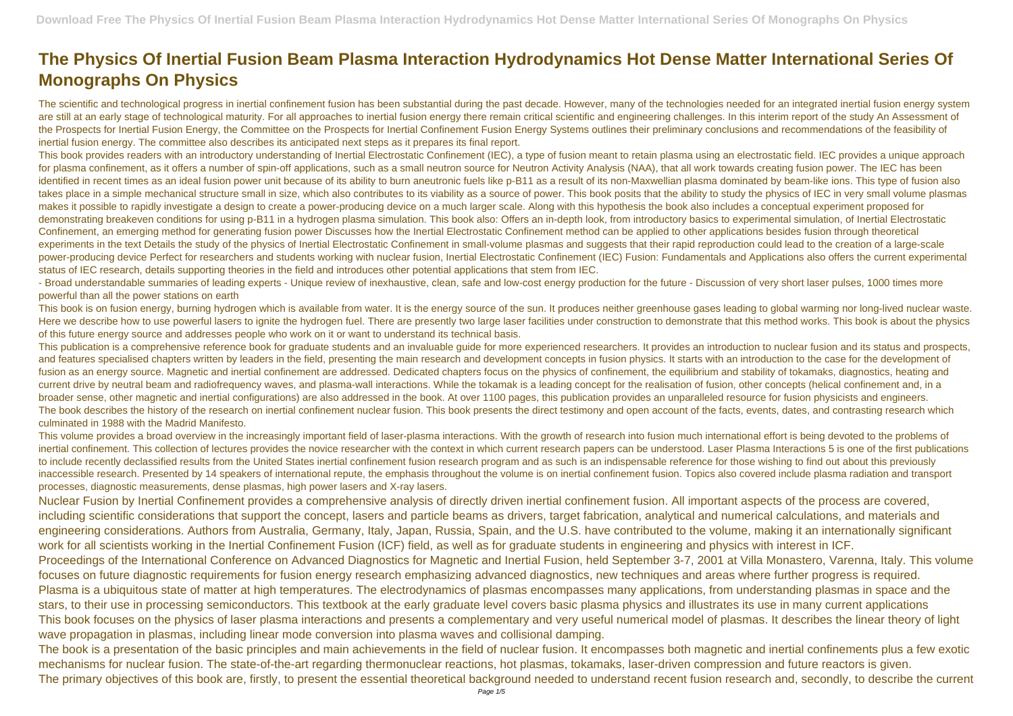## **The Physics Of Inertial Fusion Beam Plasma Interaction Hydrodynamics Hot Dense Matter International Series Of Monographs On Physics**

The scientific and technological progress in inertial confinement fusion has been substantial during the past decade. However, many of the technologies needed for an integrated inertial fusion energy system are still at an early stage of technological maturity. For all approaches to inertial fusion energy there remain critical scientific and engineering challenges. In this interim report of the study An Assessment of the Prospects for Inertial Fusion Energy, the Committee on the Prospects for Inertial Confinement Fusion Energy Systems outlines their preliminary conclusions and recommendations of the feasibility of inertial fusion energy. The committee also describes its anticipated next steps as it prepares its final report.

- Broad understandable summaries of leading experts - Unique review of inexhaustive, clean, safe and low-cost energy production for the future - Discussion of very short laser pulses, 1000 times more powerful than all the power stations on earth

This book is on fusion energy, burning hydrogen which is available from water. It is the energy source of the sun. It produces neither greenhouse gases leading to global warming nor long-lived nuclear waste. Here we describe how to use powerful lasers to ignite the hydrogen fuel. There are presently two large laser facilities under construction to demonstrate that this method works. This book is about the physics of this future energy source and addresses people who work on it or want to understand its technical basis.

This book provides readers with an introductory understanding of Inertial Electrostatic Confinement (IEC), a type of fusion meant to retain plasma using an electrostatic field. IEC provides a unique approach for plasma confinement, as it offers a number of spin-off applications, such as a small neutron source for Neutron Activity Analysis (NAA), that all work towards creating fusion power. The IEC has been identified in recent times as an ideal fusion power unit because of its ability to burn aneutronic fuels like p-B11 as a result of its non-Maxwellian plasma dominated by beam-like ions. This type of fusion also takes place in a simple mechanical structure small in size, which also contributes to its viability as a source of power. This book posits that the ability to study the physics of IEC in very small volume plasmas makes it possible to rapidly investigate a design to create a power-producing device on a much larger scale. Along with this hypothesis the book also includes a conceptual experiment proposed for demonstrating breakeven conditions for using p-B11 in a hydrogen plasma simulation. This book also: Offers an in-depth look, from introductory basics to experimental simulation, of Inertial Electrostatic Confinement, an emerging method for generating fusion power Discusses how the Inertial Electrostatic Confinement method can be applied to other applications besides fusion through theoretical experiments in the text Details the study of the physics of Inertial Electrostatic Confinement in small-volume plasmas and suggests that their rapid reproduction could lead to the creation of a large-scale power-producing device Perfect for researchers and students working with nuclear fusion, Inertial Electrostatic Confinement (IEC) Fusion: Fundamentals and Applications also offers the current experimental status of IEC research, details supporting theories in the field and introduces other potential applications that stem from IEC.

This publication is a comprehensive reference book for graduate students and an invaluable guide for more experienced researchers. It provides an introduction to nuclear fusion and its status and prospects, and features specialised chapters written by leaders in the field, presenting the main research and development concepts in fusion physics. It starts with an introduction to the case for the development of fusion as an energy source. Magnetic and inertial confinement are addressed. Dedicated chapters focus on the physics of confinement, the equilibrium and stability of tokamaks, diagnostics, heating and current drive by neutral beam and radiofrequency waves, and plasma-wall interactions. While the tokamak is a leading concept for the realisation of fusion, other concepts (helical confinement and, in a broader sense, other magnetic and inertial configurations) are also addressed in the book. At over 1100 pages, this publication provides an unparalleled resource for fusion physicists and engineers. The book describes the history of the research on inertial confinement nuclear fusion. This book presents the direct testimony and open account of the facts, events, dates, and contrasting research which culminated in 1988 with the Madrid Manifesto.

This volume provides a broad overview in the increasingly important field of laser-plasma interactions. With the growth of research into fusion much international effort is being devoted to the problems of inertial confinement. This collection of lectures provides the novice researcher with the context in which current research papers can be understood. Laser Plasma Interactions 5 is one of the first publications to include recently declassified results from the United States inertial confinement fusion research program and as such is an indispensable reference for those wishing to find out about this previously inaccessible research. Presented by 14 speakers of international repute, the emphasis throughout the volume is on inertial confinement fusion. Topics also covered include plasma radiation and transport processes, diagnostic measurements, dense plasmas, high power lasers and X-ray lasers.

Nuclear Fusion by Inertial Confinement provides a comprehensive analysis of directly driven inertial confinement fusion. All important aspects of the process are covered, including scientific considerations that support the concept, lasers and particle beams as drivers, target fabrication, analytical and numerical calculations, and materials and engineering considerations. Authors from Australia, Germany, Italy, Japan, Russia, Spain, and the U.S. have contributed to the volume, making it an internationally significant work for all scientists working in the Inertial Confinement Fusion (ICF) field, as well as for graduate students in engineering and physics with interest in ICF. Proceedings of the International Conference on Advanced Diagnostics for Magnetic and Inertial Fusion, held September 3-7, 2001 at Villa Monastero, Varenna, Italy. This volume focuses on future diagnostic requirements for fusion energy research emphasizing advanced diagnostics, new techniques and areas where further progress is required. Plasma is a ubiquitous state of matter at high temperatures. The electrodynamics of plasmas encompasses many applications, from understanding plasmas in space and the stars, to their use in processing semiconductors. This textbook at the early graduate level covers basic plasma physics and illustrates its use in many current applications This book focuses on the physics of laser plasma interactions and presents a complementary and very useful numerical model of plasmas. It describes the linear theory of light wave propagation in plasmas, including linear mode conversion into plasma waves and collisional damping.

The book is a presentation of the basic principles and main achievements in the field of nuclear fusion. It encompasses both magnetic and inertial confinements plus a few exotic mechanisms for nuclear fusion. The state-of-the-art regarding thermonuclear reactions, hot plasmas, tokamaks, laser-driven compression and future reactors is given. The primary objectives of this book are, firstly, to present the essential theoretical background needed to understand recent fusion research and, secondly, to describe the current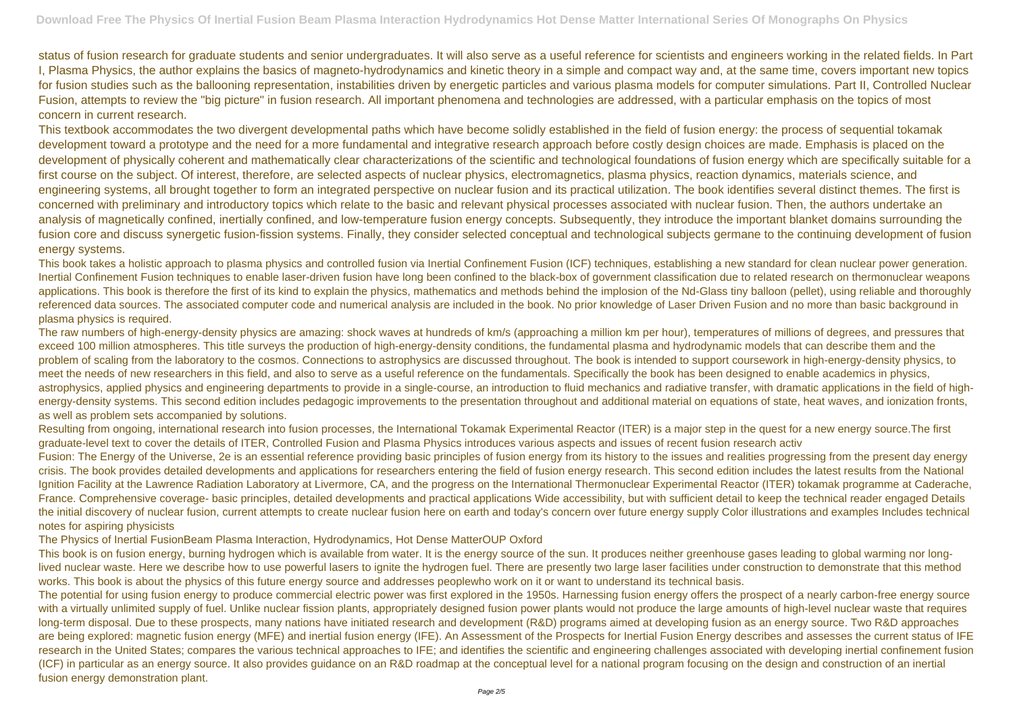status of fusion research for graduate students and senior undergraduates. It will also serve as a useful reference for scientists and engineers working in the related fields. In Part I, Plasma Physics, the author explains the basics of magneto-hydrodynamics and kinetic theory in a simple and compact way and, at the same time, covers important new topics for fusion studies such as the ballooning representation, instabilities driven by energetic particles and various plasma models for computer simulations. Part II, Controlled Nuclear Fusion, attempts to review the "big picture" in fusion research. All important phenomena and technologies are addressed, with a particular emphasis on the topics of most concern in current research.

This textbook accommodates the two divergent developmental paths which have become solidly established in the field of fusion energy: the process of sequential tokamak development toward a prototype and the need for a more fundamental and integrative research approach before costly design choices are made. Emphasis is placed on the development of physically coherent and mathematically clear characterizations of the scientific and technological foundations of fusion energy which are specifically suitable for a first course on the subject. Of interest, therefore, are selected aspects of nuclear physics, electromagnetics, plasma physics, reaction dynamics, materials science, and engineering systems, all brought together to form an integrated perspective on nuclear fusion and its practical utilization. The book identifies several distinct themes. The first is concerned with preliminary and introductory topics which relate to the basic and relevant physical processes associated with nuclear fusion. Then, the authors undertake an analysis of magnetically confined, inertially confined, and low-temperature fusion energy concepts. Subsequently, they introduce the important blanket domains surrounding the fusion core and discuss synergetic fusion-fission systems. Finally, they consider selected conceptual and technological subjects germane to the continuing development of fusion energy systems.

This book takes a holistic approach to plasma physics and controlled fusion via Inertial Confinement Fusion (ICF) techniques, establishing a new standard for clean nuclear power generation. Inertial Confinement Fusion techniques to enable laser-driven fusion have long been confined to the black-box of government classification due to related research on thermonuclear weapons applications. This book is therefore the first of its kind to explain the physics, mathematics and methods behind the implosion of the Nd-Glass tiny balloon (pellet), using reliable and thoroughly referenced data sources. The associated computer code and numerical analysis are included in the book. No prior knowledge of Laser Driven Fusion and no more than basic background in plasma physics is required.

Resulting from ongoing, international research into fusion processes, the International Tokamak Experimental Reactor (ITER) is a major step in the quest for a new energy source. The first graduate-level text to cover the details of ITER, Controlled Fusion and Plasma Physics introduces various aspects and issues of recent fusion research activ Fusion: The Energy of the Universe, 2e is an essential reference providing basic principles of fusion energy from its history to the issues and realities progressing from the present day energy crisis. The book provides detailed developments and applications for researchers entering the field of fusion energy research. This second edition includes the latest results from the National Ignition Facility at the Lawrence Radiation Laboratory at Livermore, CA, and the progress on the International Thermonuclear Experimental Reactor (ITER) tokamak programme at Caderache, France. Comprehensive coverage- basic principles, detailed developments and practical applications Wide accessibility, but with sufficient detail to keep the technical reader engaged Details the initial discovery of nuclear fusion, current attempts to create nuclear fusion here on earth and today's concern over future energy supply Color illustrations and examples Includes technical notes for aspiring physicists

This book is on fusion energy, burning hydrogen which is available from water. It is the energy source of the sun. It produces neither greenhouse gases leading to global warming nor longlived nuclear waste. Here we describe how to use powerful lasers to ignite the hydrogen fuel. There are presently two large laser facilities under construction to demonstrate that this method works. This book is about the physics of this future energy source and addresses peoplewho work on it or want to understand its technical basis.

The raw numbers of high-energy-density physics are amazing: shock waves at hundreds of km/s (approaching a million km per hour), temperatures of millions of degrees, and pressures that exceed 100 million atmospheres. This title surveys the production of high-energy-density conditions, the fundamental plasma and hydrodynamic models that can describe them and the problem of scaling from the laboratory to the cosmos. Connections to astrophysics are discussed throughout. The book is intended to support coursework in high-energy-density physics, to meet the needs of new researchers in this field, and also to serve as a useful reference on the fundamentals. Specifically the book has been designed to enable academics in physics, astrophysics, applied physics and engineering departments to provide in a single-course, an introduction to fluid mechanics and radiative transfer, with dramatic applications in the field of highenergy-density systems. This second edition includes pedagogic improvements to the presentation throughout and additional material on equations of state, heat waves, and ionization fronts, as well as problem sets accompanied by solutions.

The Physics of Inertial FusionBeam Plasma Interaction, Hydrodynamics, Hot Dense MatterOUP Oxford

The potential for using fusion energy to produce commercial electric power was first explored in the 1950s. Harnessing fusion energy offers the prospect of a nearly carbon-free energy source with a virtually unlimited supply of fuel. Unlike nuclear fission plants, appropriately designed fusion power plants would not produce the large amounts of high-level nuclear waste that requires long-term disposal. Due to these prospects, many nations have initiated research and development (R&D) programs aimed at developing fusion as an energy source. Two R&D approaches are being explored: magnetic fusion energy (MFE) and inertial fusion energy (IFE). An Assessment of the Prospects for Inertial Fusion Energy describes and assesses the current status of IFE research in the United States; compares the various technical approaches to IFE; and identifies the scientific and engineering challenges associated with developing inertial confinement fusion (ICF) in particular as an energy source. It also provides guidance on an R&D roadmap at the conceptual level for a national program focusing on the design and construction of an inertial fusion energy demonstration plant.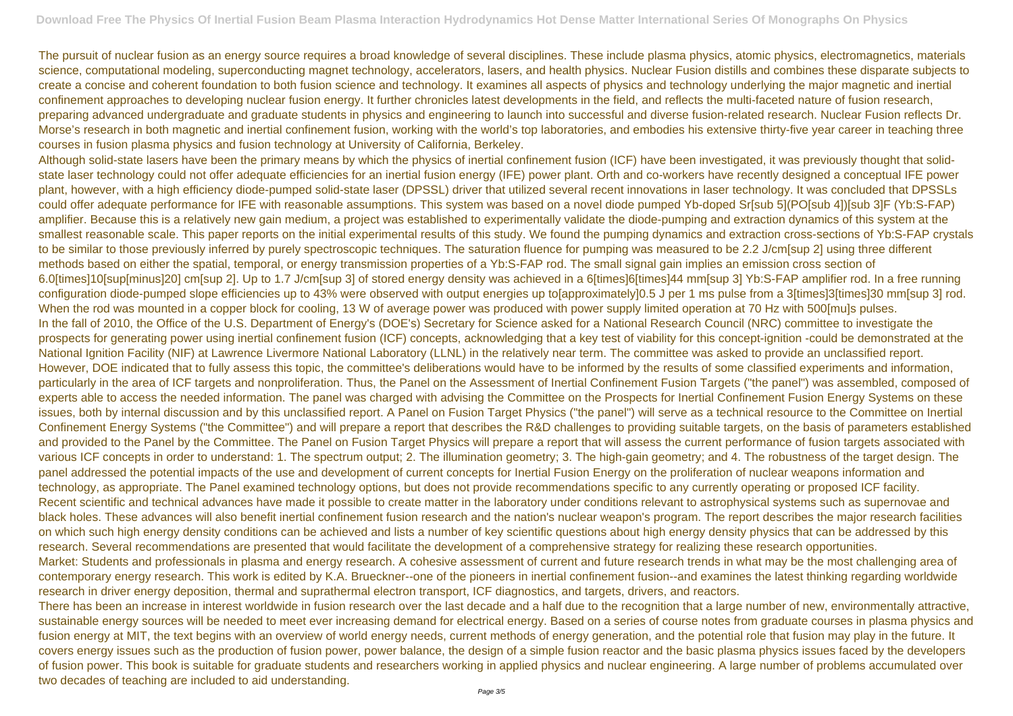The pursuit of nuclear fusion as an energy source requires a broad knowledge of several disciplines. These include plasma physics, atomic physics, electromagnetics, materials science, computational modeling, superconducting magnet technology, accelerators, lasers, and health physics. Nuclear Fusion distills and combines these disparate subjects to create a concise and coherent foundation to both fusion science and technology. It examines all aspects of physics and technology underlying the major magnetic and inertial confinement approaches to developing nuclear fusion energy. It further chronicles latest developments in the field, and reflects the multi-faceted nature of fusion research, preparing advanced undergraduate and graduate students in physics and engineering to launch into successful and diverse fusion-related research. Nuclear Fusion reflects Dr. Morse's research in both magnetic and inertial confinement fusion, working with the world's top laboratories, and embodies his extensive thirty-five year career in teaching three courses in fusion plasma physics and fusion technology at University of California, Berkeley.

Although solid-state lasers have been the primary means by which the physics of inertial confinement fusion (ICF) have been investigated, it was previously thought that solidstate laser technology could not offer adequate efficiencies for an inertial fusion energy (IFE) power plant. Orth and co-workers have recently designed a conceptual IFE power plant, however, with a high efficiency diode-pumped solid-state laser (DPSSL) driver that utilized several recent innovations in laser technology. It was concluded that DPSSLs could offer adequate performance for IFE with reasonable assumptions. This system was based on a novel diode pumped Yb-doped Sr[sub 5](PO[sub 4])[sub 3]F (Yb:S-FAP) amplifier. Because this is a relatively new gain medium, a project was established to experimentally validate the diode-pumping and extraction dynamics of this system at the smallest reasonable scale. This paper reports on the initial experimental results of this study. We found the pumping dynamics and extraction cross-sections of Yb:S-FAP crystals to be similar to those previously inferred by purely spectroscopic techniques. The saturation fluence for pumping was measured to be 2.2 J/cm[sup 2] using three different methods based on either the spatial, temporal, or energy transmission properties of a Yb:S-FAP rod. The small signal gain implies an emission cross section of 6.0[times]10[sup[minus]20] cm[sup 2]. Up to 1.7 J/cm[sup 3] of stored energy density was achieved in a 6[times]6[times]44 mm[sup 3] Yb:S-FAP amplifier rod. In a free running configuration diode-pumped slope efficiencies up to 43% were observed with output energies up to[approximately]0.5 J per 1 ms pulse from a 3[times]3[times]30 mm[sup 3] rod. When the rod was mounted in a copper block for cooling, 13 W of average power was produced with power supply limited operation at 70 Hz with 500[mu]s pulses. In the fall of 2010, the Office of the U.S. Department of Energy's (DOE's) Secretary for Science asked for a National Research Council (NRC) committee to investigate the prospects for generating power using inertial confinement fusion (ICF) concepts, acknowledging that a key test of viability for this concept-ignition -could be demonstrated at the National Ignition Facility (NIF) at Lawrence Livermore National Laboratory (LLNL) in the relatively near term. The committee was asked to provide an unclassified report. However, DOE indicated that to fully assess this topic, the committee's deliberations would have to be informed by the results of some classified experiments and information, particularly in the area of ICF targets and nonproliferation. Thus, the Panel on the Assessment of Inertial Confinement Fusion Targets ("the panel") was assembled, composed of experts able to access the needed information. The panel was charged with advising the Committee on the Prospects for Inertial Confinement Fusion Energy Systems on these issues, both by internal discussion and by this unclassified report. A Panel on Fusion Target Physics ("the panel") will serve as a technical resource to the Committee on Inertial Confinement Energy Systems ("the Committee") and will prepare a report that describes the R&D challenges to providing suitable targets, on the basis of parameters established and provided to the Panel by the Committee. The Panel on Fusion Target Physics will prepare a report that will assess the current performance of fusion targets associated with various ICF concepts in order to understand: 1. The spectrum output; 2. The illumination geometry; 3. The high-gain geometry; and 4. The robustness of the target design. The panel addressed the potential impacts of the use and development of current concepts for Inertial Fusion Energy on the proliferation of nuclear weapons information and technology, as appropriate. The Panel examined technology options, but does not provide recommendations specific to any currently operating or proposed ICF facility. Recent scientific and technical advances have made it possible to create matter in the laboratory under conditions relevant to astrophysical systems such as supernovae and black holes. These advances will also benefit inertial confinement fusion research and the nation's nuclear weapon's program. The report describes the major research facilities on which such high energy density conditions can be achieved and lists a number of key scientific questions about high energy density physics that can be addressed by this research. Several recommendations are presented that would facilitate the development of a comprehensive strategy for realizing these research opportunities. Market: Students and professionals in plasma and energy research. A cohesive assessment of current and future research trends in what may be the most challenging area of contemporary energy research. This work is edited by K.A. Brueckner--one of the pioneers in inertial confinement fusion--and examines the latest thinking regarding worldwide research in driver energy deposition, thermal and suprathermal electron transport, ICF diagnostics, and targets, drivers, and reactors. There has been an increase in interest worldwide in fusion research over the last decade and a half due to the recognition that a large number of new, environmentally attractive, sustainable energy sources will be needed to meet ever increasing demand for electrical energy. Based on a series of course notes from graduate courses in plasma physics and fusion energy at MIT, the text begins with an overview of world energy needs, current methods of energy generation, and the potential role that fusion may play in the future. It covers energy issues such as the production of fusion power, power balance, the design of a simple fusion reactor and the basic plasma physics issues faced by the developers of fusion power. This book is suitable for graduate students and researchers working in applied physics and nuclear engineering. A large number of problems accumulated over two decades of teaching are included to aid understanding.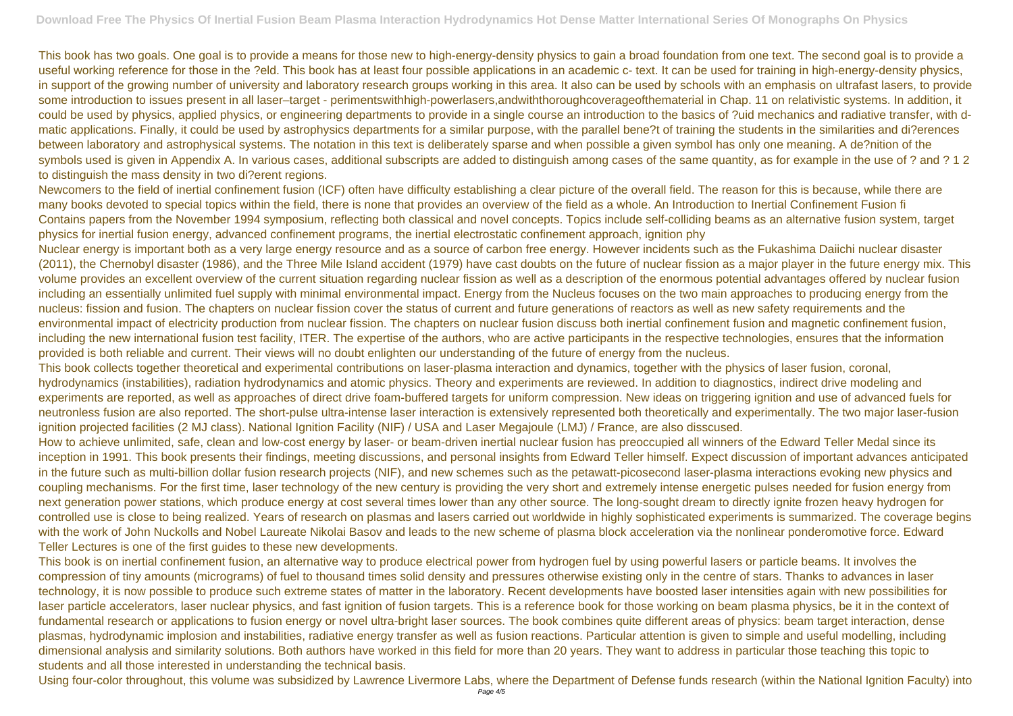This book has two goals. One goal is to provide a means for those new to high-energy-density physics to gain a broad foundation from one text. The second goal is to provide a useful working reference for those in the ?eld. This book has at least four possible applications in an academic c- text. It can be used for training in high-energy-density physics, in support of the growing number of university and laboratory research groups working in this area. It also can be used by schools with an emphasis on ultrafast lasers, to provide some introduction to issues present in all laser-target - perimentswithhigh-powerlasers, and with thorough coverage of the material in Chap. 11 on relativistic systems. In addition, it could be used by physics, applied physics, or engineering departments to provide in a single course an introduction to the basics of ?uid mechanics and radiative transfer, with dmatic applications. Finally, it could be used by astrophysics departments for a similar purpose, with the parallel bene?t of training the students in the similarities and di?erences between laboratory and astrophysical systems. The notation in this text is deliberately sparse and when possible a given symbol has only one meaning. A de?nition of the symbols used is given in Appendix A. In various cases, additional subscripts are added to distinguish among cases of the same quantity, as for example in the use of ? and ? 1 2 to distinguish the mass density in two di?erent regions.

Newcomers to the field of inertial confinement fusion (ICF) often have difficulty establishing a clear picture of the overall field. The reason for this is because, while there are many books devoted to special topics within the field, there is none that provides an overview of the field as a whole. An Introduction to Inertial Confinement Fusion fi Contains papers from the November 1994 symposium, reflecting both classical and novel concepts. Topics include self-colliding beams as an alternative fusion system, target physics for inertial fusion energy, advanced confinement programs, the inertial electrostatic confinement approach, ignition phy

Nuclear energy is important both as a very large energy resource and as a source of carbon free energy. However incidents such as the Fukashima Daiichi nuclear disaster (2011), the Chernobyl disaster (1986), and the Three Mile Island accident (1979) have cast doubts on the future of nuclear fission as a major player in the future energy mix. This volume provides an excellent overview of the current situation regarding nuclear fission as well as a description of the enormous potential advantages offered by nuclear fusion including an essentially unlimited fuel supply with minimal environmental impact. Energy from the Nucleus focuses on the two main approaches to producing energy from the nucleus: fission and fusion. The chapters on nuclear fission cover the status of current and future generations of reactors as well as new safety requirements and the environmental impact of electricity production from nuclear fission. The chapters on nuclear fusion discuss both inertial confinement fusion and magnetic confinement fusion, including the new international fusion test facility, ITER. The expertise of the authors, who are active participants in the respective technologies, ensures that the information provided is both reliable and current. Their views will no doubt enlighten our understanding of the future of energy from the nucleus.

This book collects together theoretical and experimental contributions on laser-plasma interaction and dynamics, together with the physics of laser fusion, coronal, hydrodynamics (instabilities), radiation hydrodynamics and atomic physics. Theory and experiments are reviewed. In addition to diagnostics, indirect drive modeling and experiments are reported, as well as approaches of direct drive foam-buffered targets for uniform compression. New ideas on triggering ignition and use of advanced fuels for neutronless fusion are also reported. The short-pulse ultra-intense laser interaction is extensively represented both theoretically and experimentally. The two major laser-fusion ignition projected facilities (2 MJ class). National Ignition Facility (NIF) / USA and Laser Megajoule (LMJ) / France, are also disscused.

How to achieve unlimited, safe, clean and low-cost energy by laser- or beam-driven inertial nuclear fusion has preoccupied all winners of the Edward Teller Medal since its inception in 1991. This book presents their findings, meeting discussions, and personal insights from Edward Teller himself. Expect discussion of important advances anticipated in the future such as multi-billion dollar fusion research projects (NIF), and new schemes such as the petawatt-picosecond laser-plasma interactions evoking new physics and coupling mechanisms. For the first time, laser technology of the new century is providing the very short and extremely intense energetic pulses needed for fusion energy from next generation power stations, which produce energy at cost several times lower than any other source. The long-sought dream to directly ignite frozen heavy hydrogen for controlled use is close to being realized. Years of research on plasmas and lasers carried out worldwide in highly sophisticated experiments is summarized. The coverage begins with the work of John Nuckolls and Nobel Laureate Nikolai Basov and leads to the new scheme of plasma block acceleration via the nonlinear ponderomotive force. Edward Teller Lectures is one of the first guides to these new developments.

This book is on inertial confinement fusion, an alternative way to produce electrical power from hydrogen fuel by using powerful lasers or particle beams. It involves the compression of tiny amounts (micrograms) of fuel to thousand times solid density and pressures otherwise existing only in the centre of stars. Thanks to advances in laser technology, it is now possible to produce such extreme states of matter in the laboratory. Recent developments have boosted laser intensities again with new possibilities for laser particle accelerators, laser nuclear physics, and fast ignition of fusion targets. This is a reference book for those working on beam plasma physics, be it in the context of fundamental research or applications to fusion energy or novel ultra-bright laser sources. The book combines quite different areas of physics: beam target interaction, dense plasmas, hydrodynamic implosion and instabilities, radiative energy transfer as well as fusion reactions. Particular attention is given to simple and useful modelling, including dimensional analysis and similarity solutions. Both authors have worked in this field for more than 20 years. They want to address in particular those teaching this topic to students and all those interested in understanding the technical basis.

Using four-color throughout, this volume was subsidized by Lawrence Livermore Labs, where the Department of Defense funds research (within the National Ignition Faculty) into